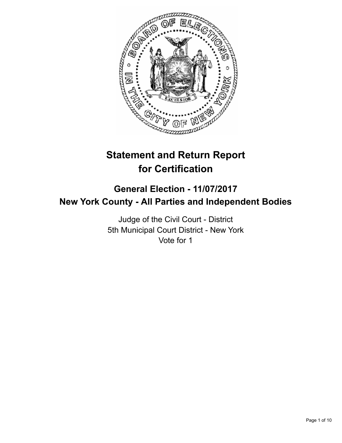

# **Statement and Return Report for Certification**

## **General Election - 11/07/2017 New York County - All Parties and Independent Bodies**

Judge of the Civil Court - District 5th Municipal Court District - New York Vote for 1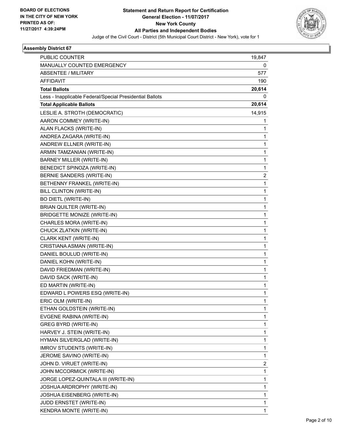

| PUBLIC COUNTER                                           | 19,847         |
|----------------------------------------------------------|----------------|
| MANUALLY COUNTED EMERGENCY                               | 0              |
| <b>ABSENTEE / MILITARY</b>                               | 577            |
| <b>AFFIDAVIT</b>                                         | 190            |
| <b>Total Ballots</b>                                     | 20,614         |
| Less - Inapplicable Federal/Special Presidential Ballots | 0              |
| <b>Total Applicable Ballots</b>                          | 20,614         |
| LESLIE A. STROTH (DEMOCRATIC)                            | 14,915         |
| AARON COMMEY (WRITE-IN)                                  | 1              |
| ALAN FLACKS (WRITE-IN)                                   | 1              |
| ANDREA ZAGARA (WRITE-IN)                                 | 1              |
| ANDREW ELLNER (WRITE-IN)                                 | 1              |
| ARMIN TAMZANIAN (WRITE-IN)                               | 1              |
| BARNEY MILLER (WRITE-IN)                                 | 1              |
| BENEDICT SPINOZA (WRITE-IN)                              | 1              |
| BERNIE SANDERS (WRITE-IN)                                | $\overline{2}$ |
| BETHENNY FRANKEL (WRITE-IN)                              | 1              |
| BILL CLINTON (WRITE-IN)                                  | 1              |
| <b>BO DIETL (WRITE-IN)</b>                               | 1              |
| BRIAN QUILTER (WRITE-IN)                                 | 1              |
| <b>BRIDGETTE MONIZE (WRITE-IN)</b>                       | 1              |
| CHARLES MORA (WRITE-IN)                                  | 1              |
| CHUCK ZLATKIN (WRITE-IN)                                 | 1              |
| CLARK KENT (WRITE-IN)                                    | 1              |
| CRISTIANA ASMAN (WRITE-IN)                               | 1              |
| DANIEL BOULUD (WRITE-IN)                                 | 1              |
| DANIEL KOHN (WRITE-IN)                                   | 1              |
| DAVID FRIEDMAN (WRITE-IN)                                | 1              |
| DAVID SACK (WRITE-IN)                                    | 1              |
| ED MARTIN (WRITE-IN)                                     | 1              |
| EDWARD L POWERS ESQ (WRITE-IN)                           | 1              |
| ERIC OLM (WRITE-IN)                                      | 1              |
| ETHAN GOLDSTEIN (WRITE-IN)                               | 1              |
| EVGENE RABINA (WRITE-IN)                                 | 1              |
| GREG BYRD (WRITE-IN)                                     | 1              |
| HARVEY J. STEIN (WRITE-IN)                               | 1              |
| HYMAN SILVERGLAD (WRITE-IN)                              | 1              |
| <b>IMROV STUDENTS (WRITE-IN)</b>                         | 1              |
| JEROME SAVINO (WRITE-IN)                                 | 1              |
| JOHN D. VIRUET (WRITE-IN)                                | 2              |
| JOHN MCCORMICK (WRITE-IN)                                | 1              |
| JORGE LOPEZ-QUINTALA III (WRITE-IN)                      | 1              |
| JOSHUA ARDROPHY (WRITE-IN)                               | 1              |
| JOSHUA EISENBERG (WRITE-IN)                              | 1              |
| JUDD ERNSTET (WRITE-IN)                                  | 1              |
| KENDRA MONTE (WRITE-IN)                                  | 1              |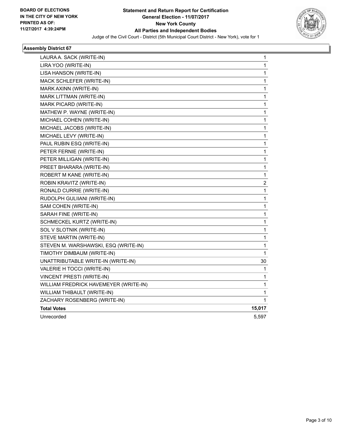

| LAURA A. SACK (WRITE-IN)              | 1                       |
|---------------------------------------|-------------------------|
| LIRA YOO (WRITE-IN)                   | 1                       |
| LISA HANSON (WRITE-IN)                | 1                       |
| MACK SCHLEFER (WRITE-IN)              | 1                       |
| MARK AXINN (WRITE-IN)                 | 1                       |
| MARK LITTMAN (WRITE-IN)               | 1                       |
| MARK PICARD (WRITE-IN)                | 1                       |
| MATHEW P. WAYNE (WRITE-IN)            | 1                       |
| MICHAEL COHEN (WRITE-IN)              | 1                       |
| MICHAEL JACOBS (WRITE-IN)             | 1                       |
| MICHAEL LEVY (WRITE-IN)               | 1                       |
| PAUL RUBIN ESQ (WRITE-IN)             | 1                       |
| PETER FERNIE (WRITE-IN)               | 1                       |
| PETER MILLIGAN (WRITE-IN)             | 1                       |
| PREET BHARARA (WRITE-IN)              | 1                       |
| ROBERT M KANE (WRITE-IN)              | $\mathbf 1$             |
| ROBIN KRAVITZ (WRITE-IN)              | $\overline{\mathbf{c}}$ |
| RONALD CURRIE (WRITE-IN)              | 1                       |
| RUDOLPH GULIIANI (WRITE-IN)           | 1                       |
| SAM COHEN (WRITE-IN)                  | 1                       |
| SARAH FINE (WRITE-IN)                 | $\mathbf 1$             |
| SCHMECKEL KURTZ (WRITE-IN)            | 1                       |
| SOL V SLOTNIK (WRITE-IN)              | 1                       |
| STEVE MARTIN (WRITE-IN)               | 1                       |
| STEVEN M. WARSHAWSKI, ESQ (WRITE-IN)  | 1                       |
| TIMOTHY DIMBAUM (WRITE-IN)            | $\mathbf{1}$            |
| UNATTRIBUTABLE WRITE-IN (WRITE-IN)    | 30                      |
| VALERIE H TOCCI (WRITE-IN)            | 1                       |
| VINCENT PRESTI (WRITE-IN)             | 1                       |
| WILLIAM FREDRICK HAVEMEYER (WRITE-IN) | $\mathbf 1$             |
| WILLIAM THIBAULT (WRITE-IN)           | 1                       |
| ZACHARY ROSENBERG (WRITE-IN)          | 1                       |
| <b>Total Votes</b>                    | 15,017                  |
| Unrecorded                            | 5,597                   |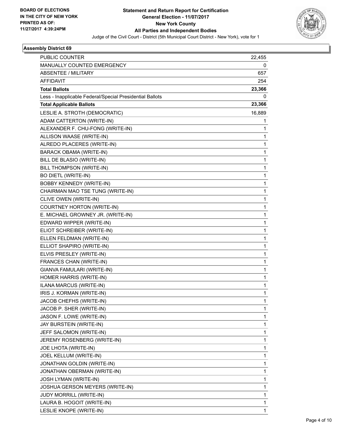

| <b>PUBLIC COUNTER</b>                                    | 22,455 |
|----------------------------------------------------------|--------|
| MANUALLY COUNTED EMERGENCY                               | 0      |
| <b>ABSENTEE / MILITARY</b>                               | 657    |
| <b>AFFIDAVIT</b>                                         | 254    |
| <b>Total Ballots</b>                                     | 23,366 |
| Less - Inapplicable Federal/Special Presidential Ballots | 0      |
| <b>Total Applicable Ballots</b>                          | 23,366 |
| LESLIE A. STROTH (DEMOCRATIC)                            | 16,889 |
| ADAM CATTERTON (WRITE-IN)                                | 1      |
| ALEXANDER F. CHU-FONG (WRITE-IN)                         | 1      |
| ALLISON WAASE (WRITE-IN)                                 | 1      |
| ALREDO PLACERES (WRITE-IN)                               | 1      |
| BARACK OBAMA (WRITE-IN)                                  | 1      |
| BILL DE BLASIO (WRITE-IN)                                | 1      |
| BILL THOMPSON (WRITE-IN)                                 | 1      |
| <b>BO DIETL (WRITE-IN)</b>                               | 1      |
| <b>BOBBY KENNEDY (WRITE-IN)</b>                          | 1      |
| CHAIRMAN MAO TSE TUNG (WRITE-IN)                         | 1      |
| CLIVE OWEN (WRITE-IN)                                    | 1      |
| COURTNEY HORTON (WRITE-IN)                               | 1      |
| E. MICHAEL GROWNEY JR. (WRITE-IN)                        | 1      |
| EDWARD WIPPER (WRITE-IN)                                 | 1      |
| ELIOT SCHREIBER (WRITE-IN)                               | 1      |
| ELLEN FELDMAN (WRITE-IN)                                 | 1      |
| ELLIOT SHAPIRO (WRITE-IN)                                | 1      |
| ELVIS PRESLEY (WRITE-IN)                                 | 1      |
| FRANCES CHAN (WRITE-IN)                                  | 1      |
| GIANVA FAMULARI (WRITE-IN)                               | 1      |
| HOMER HARRIS (WRITE-IN)                                  | 1      |
| ILANA MARCUS (WRITE-IN)                                  | 1      |
| IRIS J. KORMAN (WRITE-IN)                                | 1      |
| JACOB CHEFHS (WRITE-IN)                                  | 1      |
| JACOB P. SHER (WRITE-IN)                                 | 1      |
| JASON F. LOWE (WRITE-IN)                                 | 1      |
| JAY BURSTEIN (WRITE-IN)                                  | 1      |
| JEFF SALOMON (WRITE-IN)                                  | 1      |
| JEREMY ROSENBERG (WRITE-IN)                              | 1      |
| JOE LHOTA (WRITE-IN)                                     | 1      |
| JOEL KELLUM (WRITE-IN)                                   | 1      |
| JONATHAN GOLDIN (WRITE-IN)                               | 1      |
| JONATHAN OBERMAN (WRITE-IN)                              | 1      |
| JOSH LYMAN (WRITE-IN)                                    | 1      |
| JOSHUA GERSON MEYERS (WRITE-IN)                          | 1      |
| <b>JUDY MORRILL (WRITE-IN)</b>                           | 1      |
| LAURA B. HOGOIT (WRITE-IN)                               | 1      |
| LESLIE KNOPE (WRITE-IN)                                  | 1      |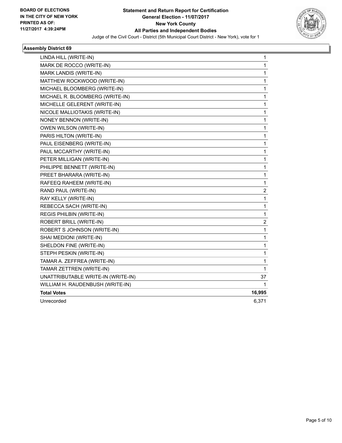

| LINDA HILL (WRITE-IN)              | 1            |
|------------------------------------|--------------|
| MARK DE ROCCO (WRITE-IN)           | $\mathbf{1}$ |
| MARK LANDIS (WRITE-IN)             | 1            |
| MATTHEW ROCKWOOD (WRITE-IN)        | 1            |
| MICHAEL BLOOMBERG (WRITE-IN)       | 1            |
| MICHAEL R. BLOOMBERG (WRITE-IN)    | 1            |
| MICHELLE GELERENT (WRITE-IN)       | 1            |
| NICOLE MALLIOTAKIS (WRITE-IN)      | $\mathbf{1}$ |
| NONEY BENNON (WRITE-IN)            | 1            |
| OWEN WILSON (WRITE-IN)             | 1            |
| PARIS HILTON (WRITE-IN)            | $\mathbf{1}$ |
| PAUL EISENBERG (WRITE-IN)          | 1            |
| PAUL MCCARTHY (WRITE-IN)           | 1            |
| PETER MILLIGAN (WRITE-IN)          | 1            |
| PHILIPPE BENNETT (WRITE-IN)        | 1            |
| PREET BHARARA (WRITE-IN)           | $\mathbf{1}$ |
| RAFEEQ RAHEEM (WRITE-IN)           | 1            |
| RAND PAUL (WRITE-IN)               | 2            |
| RAY KELLY (WRITE-IN)               | $\mathbf{1}$ |
| REBECCA SACH (WRITE-IN)            | 1            |
| REGIS PHILBIN (WRITE-IN)           | $\mathbf{1}$ |
| ROBERT BRILL (WRITE-IN)            | 2            |
| ROBERT S JOHNSON (WRITE-IN)        | $\mathbf 1$  |
| SHAI MEDIONI (WRITE-IN)            | $\mathbf{1}$ |
| SHELDON FINE (WRITE-IN)            | 1            |
| STEPH PESKIN (WRITE-IN)            | 1            |
| TAMAR A. ZEFFREA (WRITE-IN)        | 1            |
| TAMAR ZETTREN (WRITE-IN)           | 1            |
| UNATTRIBUTABLE WRITE-IN (WRITE-IN) | 37           |
| WILLIAM H. RAUDENBUSH (WRITE-IN)   | 1            |
| <b>Total Votes</b>                 | 16,995       |
| Unrecorded                         | 6,371        |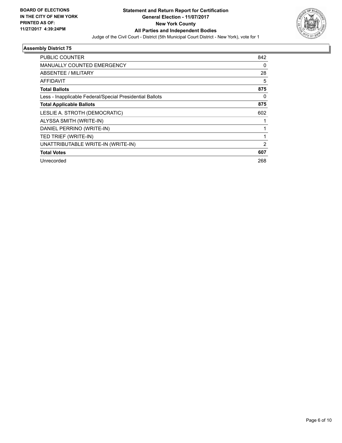

| <b>PUBLIC COUNTER</b>                                    | 842 |
|----------------------------------------------------------|-----|
| <b>MANUALLY COUNTED EMERGENCY</b>                        | 0   |
| ABSENTEE / MILITARY                                      | 28  |
| AFFIDAVIT                                                | 5   |
| <b>Total Ballots</b>                                     | 875 |
| Less - Inapplicable Federal/Special Presidential Ballots | 0   |
| <b>Total Applicable Ballots</b>                          | 875 |
| LESLIE A. STROTH (DEMOCRATIC)                            | 602 |
| ALYSSA SMITH (WRITE-IN)                                  |     |
| DANIEL PERRINO (WRITE-IN)                                |     |
| TED TRIEF (WRITE-IN)                                     |     |
| UNATTRIBUTABLE WRITE-IN (WRITE-IN)                       | 2   |
| <b>Total Votes</b>                                       | 607 |
| Unrecorded                                               | 268 |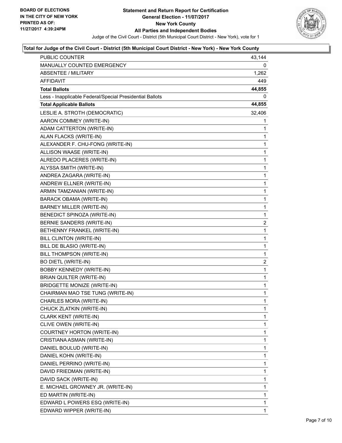

| PUBLIC COUNTER                                           | 43,144         |
|----------------------------------------------------------|----------------|
| <b>MANUALLY COUNTED EMERGENCY</b>                        | $\Omega$       |
| <b>ABSENTEE / MILITARY</b>                               | 1,262          |
| AFFIDAVIT                                                | 449            |
| <b>Total Ballots</b>                                     | 44,855         |
| Less - Inapplicable Federal/Special Presidential Ballots | 0              |
| <b>Total Applicable Ballots</b>                          | 44,855         |
| LESLIE A. STROTH (DEMOCRATIC)                            | 32,406         |
| AARON COMMEY (WRITE-IN)                                  | 1              |
| ADAM CATTERTON (WRITE-IN)                                | 1              |
| ALAN FLACKS (WRITE-IN)                                   | 1              |
| ALEXANDER F. CHU-FONG (WRITE-IN)                         | 1              |
| ALLISON WAASE (WRITE-IN)                                 | 1              |
| ALREDO PLACERES (WRITE-IN)                               | 1              |
| ALYSSA SMITH (WRITE-IN)                                  | 1              |
| ANDREA ZAGARA (WRITE-IN)                                 | $\mathbf{1}$   |
| ANDREW ELLNER (WRITE-IN)                                 | 1              |
| ARMIN TAMZANIAN (WRITE-IN)                               | 1              |
| BARACK OBAMA (WRITE-IN)                                  | $\mathbf{1}$   |
| <b>BARNEY MILLER (WRITE-IN)</b>                          | 1              |
| <b>BENEDICT SPINOZA (WRITE-IN)</b>                       | 1              |
| BERNIE SANDERS (WRITE-IN)                                | $\overline{2}$ |
| BETHENNY FRANKEL (WRITE-IN)                              | 1              |
| BILL CLINTON (WRITE-IN)                                  | 1              |
| BILL DE BLASIO (WRITE-IN)                                | $\mathbf{1}$   |
| BILL THOMPSON (WRITE-IN)                                 | 1              |
| <b>BO DIETL (WRITE-IN)</b>                               | 2              |
| BOBBY KENNEDY (WRITE-IN)                                 | 1              |
| BRIAN QUILTER (WRITE-IN)                                 | 1              |
| <b>BRIDGETTE MONIZE (WRITE-IN)</b>                       | 1              |
| CHAIRMAN MAO TSE TUNG (WRITE-IN)                         | $\mathbf{1}$   |
| CHARLES MORA (WRITE-IN)                                  | $\mathbf{1}$   |
| CHUCK ZLATKIN (WRITE-IN)                                 | 1              |
| <b>CLARK KENT (WRITE-IN)</b>                             | 1              |
| CLIVE OWEN (WRITE-IN)                                    | 1              |
| COURTNEY HORTON (WRITE-IN)                               | 1              |
| CRISTIANA ASMAN (WRITE-IN)                               | 1              |
| DANIEL BOULUD (WRITE-IN)                                 | 1              |
| DANIEL KOHN (WRITE-IN)                                   | 1              |
| DANIEL PERRINO (WRITE-IN)                                | 1              |
| DAVID FRIEDMAN (WRITE-IN)                                | 1              |
| DAVID SACK (WRITE-IN)                                    | 1              |
| E. MICHAEL GROWNEY JR. (WRITE-IN)                        | 1              |
| ED MARTIN (WRITE-IN)                                     | 1              |
| EDWARD L POWERS ESQ (WRITE-IN)                           | 1              |
| EDWARD WIPPER (WRITE-IN)                                 | 1              |
|                                                          |                |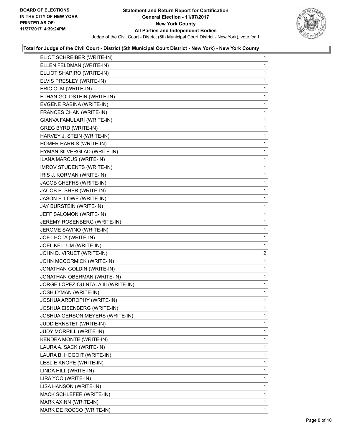

|                          | ELIOT SCHREIBER (WRITE-IN)          | 1 |
|--------------------------|-------------------------------------|---|
|                          | ELLEN FELDMAN (WRITE-IN)            | 1 |
|                          | ELLIOT SHAPIRO (WRITE-IN)           | 1 |
|                          | ELVIS PRESLEY (WRITE-IN)            | 1 |
| ERIC OLM (WRITE-IN)      |                                     | 1 |
|                          | ETHAN GOLDSTEIN (WRITE-IN)          | 1 |
|                          | EVGENE RABINA (WRITE-IN)            | 1 |
|                          | FRANCES CHAN (WRITE-IN)             | 1 |
|                          | GIANVA FAMULARI (WRITE-IN)          | 1 |
|                          | <b>GREG BYRD (WRITE-IN)</b>         | 1 |
|                          | HARVEY J. STEIN (WRITE-IN)          | 1 |
|                          | HOMER HARRIS (WRITE-IN)             | 1 |
|                          | HYMAN SILVERGLAD (WRITE-IN)         | 1 |
|                          | ILANA MARCUS (WRITE-IN)             | 1 |
|                          | <b>IMROV STUDENTS (WRITE-IN)</b>    | 1 |
|                          | IRIS J. KORMAN (WRITE-IN)           | 1 |
|                          | JACOB CHEFHS (WRITE-IN)             | 1 |
|                          | JACOB P. SHER (WRITE-IN)            | 1 |
|                          | JASON F. LOWE (WRITE-IN)            | 1 |
|                          | JAY BURSTEIN (WRITE-IN)             | 1 |
|                          | JEFF SALOMON (WRITE-IN)             | 1 |
|                          | JEREMY ROSENBERG (WRITE-IN)         | 1 |
| JEROME SAVINO (WRITE-IN) |                                     | 1 |
|                          |                                     |   |
|                          | JOE LHOTA (WRITE-IN)                | 1 |
|                          | JOEL KELLUM (WRITE-IN)              | 1 |
|                          | JOHN D. VIRUET (WRITE-IN)           | 2 |
|                          | JOHN MCCORMICK (WRITE-IN)           | 1 |
|                          | JONATHAN GOLDIN (WRITE-IN)          | 1 |
|                          | JONATHAN OBERMAN (WRITE-IN)         | 1 |
|                          | JORGE LOPEZ-QUINTALA III (WRITE-IN) | 1 |
|                          | <b>JOSH LYMAN (WRITE-IN)</b>        | 1 |
|                          | JOSHUA ARDROPHY (WRITE-IN)          | 1 |
|                          | JOSHUA EISENBERG (WRITE-IN)         | 1 |
|                          | JOSHUA GERSON MEYERS (WRITE-IN)     | 1 |
|                          | JUDD ERNSTET (WRITE-IN)             | 1 |
|                          | <b>JUDY MORRILL (WRITE-IN)</b>      | 1 |
|                          | KENDRA MONTE (WRITE-IN)             | 1 |
|                          | LAURA A. SACK (WRITE-IN)            | 1 |
|                          | LAURA B. HOGOIT (WRITE-IN)          | 1 |
|                          | LESLIE KNOPE (WRITE-IN)             | 1 |
| LINDA HILL (WRITE-IN)    |                                     | 1 |
| LIRA YOO (WRITE-IN)      |                                     | 1 |
|                          | LISA HANSON (WRITE-IN)              | 1 |
|                          | MACK SCHLEFER (WRITE-IN)            | 1 |
|                          | MARK AXINN (WRITE-IN)               | 1 |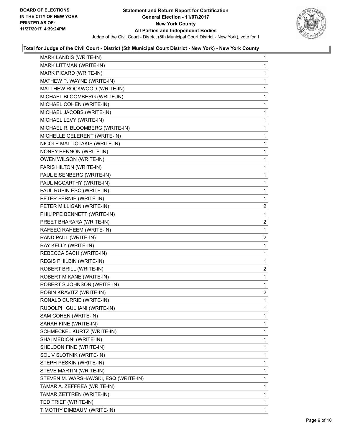

| MARK LANDIS (WRITE-IN)               | 1              |
|--------------------------------------|----------------|
| MARK LITTMAN (WRITE-IN)              | 1              |
| MARK PICARD (WRITE-IN)               | 1              |
| MATHEW P. WAYNE (WRITE-IN)           | 1              |
| MATTHEW ROCKWOOD (WRITE-IN)          | 1              |
| MICHAEL BLOOMBERG (WRITE-IN)         | 1              |
| MICHAEL COHEN (WRITE-IN)             | 1              |
| MICHAEL JACOBS (WRITE-IN)            | 1              |
| MICHAEL LEVY (WRITE-IN)              | 1              |
| MICHAEL R. BLOOMBERG (WRITE-IN)      | 1              |
| MICHELLE GELERENT (WRITE-IN)         | 1              |
| NICOLE MALLIOTAKIS (WRITE-IN)        | 1              |
| NONEY BENNON (WRITE-IN)              | 1              |
| OWEN WILSON (WRITE-IN)               | 1              |
| PARIS HILTON (WRITE-IN)              | 1              |
| PAUL EISENBERG (WRITE-IN)            | 1              |
| PAUL MCCARTHY (WRITE-IN)             | 1              |
| PAUL RUBIN ESQ (WRITE-IN)            | 1              |
| PETER FERNIE (WRITE-IN)              | 1              |
| PETER MILLIGAN (WRITE-IN)            | 2              |
| PHILIPPE BENNETT (WRITE-IN)          | 1              |
| PREET BHARARA (WRITE-IN)             | $\overline{2}$ |
| RAFEEQ RAHEEM (WRITE-IN)             | 1              |
| RAND PAUL (WRITE-IN)                 | 2              |
| RAY KELLY (WRITE-IN)                 | 1              |
| REBECCA SACH (WRITE-IN)              | 1              |
| REGIS PHILBIN (WRITE-IN)             | 1              |
| ROBERT BRILL (WRITE-IN)              | 2              |
| ROBERT M KANE (WRITE-IN)             | 1              |
| ROBERT S JOHNSON (WRITE-IN)          | $\mathbf{1}$   |
| ROBIN KRAVITZ (WRITE-IN)             | 2              |
| RONALD CURRIE (WRITE-IN)             | 1              |
| RUDOLPH GULIIANI (WRITE-IN)          | 1              |
| SAM COHEN (WRITE-IN)                 | 1              |
| SARAH FINE (WRITE-IN)                | 1              |
| SCHMECKEL KURTZ (WRITE-IN)           | 1              |
| SHAI MEDIONI (WRITE-IN)              | 1              |
| SHELDON FINE (WRITE-IN)              | 1              |
| SOL V SLOTNIK (WRITE-IN)             | 1              |
| STEPH PESKIN (WRITE-IN)              | 1              |
| STEVE MARTIN (WRITE-IN)              | 1              |
| STEVEN M. WARSHAWSKI, ESQ (WRITE-IN) | 1              |
| TAMAR A. ZEFFREA (WRITE-IN)          | 1              |
| TAMAR ZETTREN (WRITE-IN)             | 1              |
| TED TRIEF (WRITE-IN)                 | 1              |
| TIMOTHY DIMBAUM (WRITE-IN)           | 1              |
|                                      |                |